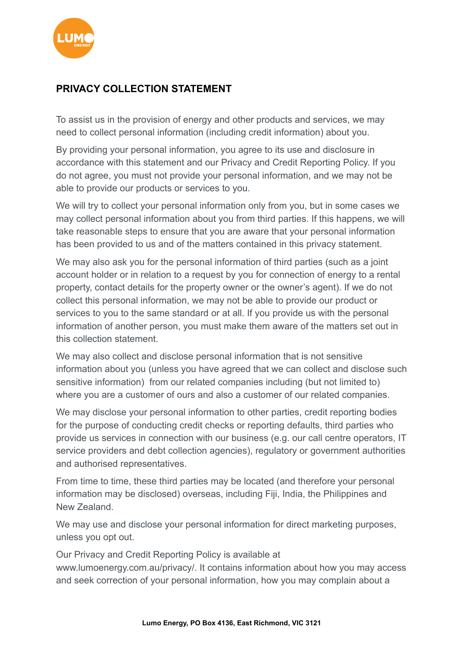

## **PRIVACY COLLECTION STATEMENT**

To assist us in the provision of energy and other products and services, we may need to collect personal information (including credit information) about you.

By providing your personal information, you agree to its use and disclosure in accordance with this statement and our Privacy and Credit Reporting Policy. If you do not agree, you must not provide your personal information, and we may not be able to provide our products or services to you.

We will try to collect your personal information only from you, but in some cases we may collect personal information about you from third parties. If this happens, we will take reasonable steps to ensure that you are aware that your personal information has been provided to us and of the matters contained in this privacy statement.

We may also ask you for the personal information of third parties (such as a joint account holder or in relation to a request by you for connection of energy to a rental property, contact details for the property owner or the owner's agent). If we do not collect this personal information, we may not be able to provide our product or services to you to the same standard or at all. If you provide us with the personal information of another person, you must make them aware of the matters set out in this collection statement.

We may also collect and disclose personal information that is not sensitive information about you (unless you have agreed that we can collect and disclose such sensitive information) from our related companies including (but not limited to) where you are a customer of ours and also a customer of our related companies.

We may disclose your personal information to other parties, credit reporting bodies for the purpose of conducting credit checks or reporting defaults, third parties who provide us services in connection with our business (e.g. our call centre operators, IT service providers and debt collection agencies), regulatory or government authorities and authorised representatives.

From time to time, these third parties may be located (and therefore your personal information may be disclosed) overseas, including Fiji, India, the Philippines and New Zealand.

We may use and disclose your personal information for direct marketing purposes, unless you opt out.

Our Privacy and Credit Reporting Policy is available at www.lumoenergy.com.au/privacy/. It contains information about how you may access and seek correction of your personal information, how you may complain about a